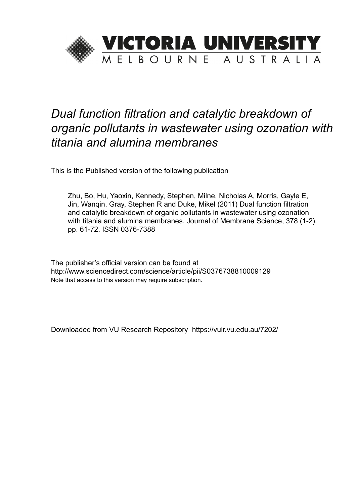

# *Dual function filtration and catalytic breakdown of organic pollutants in wastewater using ozonation with titania and alumina membranes*

This is the Published version of the following publication

Zhu, Bo, Hu, Yaoxin, Kennedy, Stephen, Milne, Nicholas A, Morris, Gayle E, Jin, Wanqin, Gray, Stephen R and Duke, Mikel (2011) Dual function filtration and catalytic breakdown of organic pollutants in wastewater using ozonation with titania and alumina membranes. Journal of Membrane Science, 378 (1-2). pp. 61-72. ISSN 0376-7388

The publisher's official version can be found at http://www.sciencedirect.com/science/article/pii/S0376738810009129 Note that access to this version may require subscription.

Downloaded from VU Research Repository https://vuir.vu.edu.au/7202/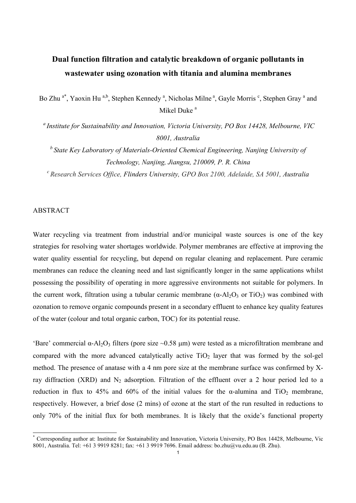# **Dual function filtration and catalytic breakdown of organic pollutants in wastewater using ozonation with titania and alumina membranes**

Bo Zhu<sup>a\*</sup>, Yaoxin Hu<sup>a,b</sup>, Stephen Kennedy<sup>a</sup>, Nicholas Milne<sup>a</sup>, Gayle Morris<sup>c</sup>, Stephen Gray<sup>a</sup> and Mikel Duke<sup>a</sup>

*<sup>a</sup>Institute for Sustainability and Innovation, Victoria University, PO Box 14428, Melbourne, VIC 8001, Australia* 

*<sup>b</sup>State Key Laboratory of Materials-Oriented Chemical Engineering, Nanjing University of Technology, Nanjing, Jiangsu, 210009, P. R. China* 

*c Research Services Office, Flinders University, GPO Box 2100, Adelaide, SA 5001, Australia* 

# ABSTRACT

Water recycling via treatment from industrial and/or municipal waste sources is one of the key strategies for resolving water shortages worldwide. Polymer membranes are effective at improving the water quality essential for recycling, but depend on regular cleaning and replacement. Pure ceramic membranes can reduce the cleaning need and last significantly longer in the same applications whilst possessing the possibility of operating in more aggressive environments not suitable for polymers. In the current work, filtration using a tubular ceramic membrane  $(\alpha-A)_{2}O_{3}$  or TiO<sub>2</sub>) was combined with ozonation to remove organic compounds present in a secondary effluent to enhance key quality features of the water (colour and total organic carbon, TOC) for its potential reuse.

'Bare' commercial  $\alpha$ -Al<sub>2</sub>O<sub>3</sub> filters (pore size  $\sim$ 0.58 µm) were tested as a microfiltration membrane and compared with the more advanced catalytically active  $TiO<sub>2</sub>$  layer that was formed by the sol-gel method. The presence of anatase with a 4 nm pore size at the membrane surface was confirmed by Xray diffraction (XRD) and  $N_2$  adsorption. Filtration of the effluent over a 2 hour period led to a reduction in flux to 45% and 60% of the initial values for the  $\alpha$ -alumina and TiO<sub>2</sub> membrane, respectively. However, a brief dose (2 mins) of ozone at the start of the run resulted in reductions to only 70% of the initial flux for both membranes. It is likely that the oxide's functional property

 \* Corresponding author at: Institute for Sustainability and Innovation, Victoria University, PO Box 14428, Melbourne, Vic 8001, Australia. Tel: +61 3 9919 8281; fax: +61 3 9919 7696. Email address: bo.zhu@vu.edu.au (B. Zhu).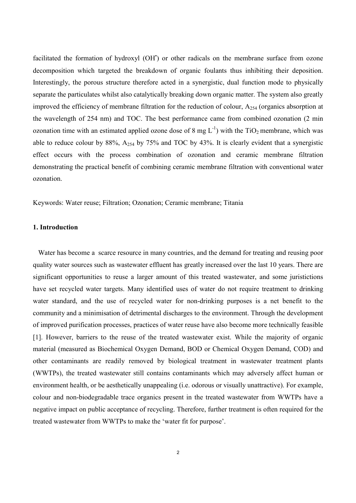facilitated the formation of hydroxyl (OH') or other radicals on the membrane surface from ozone decomposition which targeted the breakdown of organic foulants thus inhibiting their deposition. Interestingly, the porous structure therefore acted in a synergistic, dual function mode to physically separate the particulates whilst also catalytically breaking down organic matter. The system also greatly improved the efficiency of membrane filtration for the reduction of colour, A254 (organics absorption at the wavelength of 254 nm) and TOC. The best performance came from combined ozonation (2 min ozonation time with an estimated applied ozone dose of 8 mg  $L^{-1}$ ) with the TiO<sub>2</sub> membrane, which was able to reduce colour by 88%,  $A_{254}$  by 75% and TOC by 43%. It is clearly evident that a synergistic effect occurs with the process combination of ozonation and ceramic membrane filtration demonstrating the practical benefit of combining ceramic membrane filtration with conventional water ozonation.

Keywords: Water reuse; Filtration; Ozonation; Ceramic membrane; Titania

# **1. Introduction**

 Water has become a scarce resource in many countries, and the demand for treating and reusing poor quality water sources such as wastewater effluent has greatly increased over the last 10 years. There are significant opportunities to reuse a larger amount of this treated wastewater, and some juristictions have set recycled water targets. Many identified uses of water do not require treatment to drinking water standard, and the use of recycled water for non-drinking purposes is a net benefit to the community and a minimisation of detrimental discharges to the environment. Through the development of improved purification processes, practices of water reuse have also become more technically feasible [1]. However, barriers to the reuse of the treated wastewater exist. While the majority of organic material (measured as Biochemical Oxygen Demand, BOD or Chemical Oxygen Demand, COD) and other contaminants are readily removed by biological treatment in wastewater treatment plants (WWTPs), the treated wastewater still contains contaminants which may adversely affect human or environment health, or be aesthetically unappealing (i.e. odorous or visually unattractive). For example, colour and non-biodegradable trace organics present in the treated wastewater from WWTPs have a negative impact on public acceptance of recycling. Therefore, further treatment is often required for the treated wastewater from WWTPs to make the 'water fit for purpose'.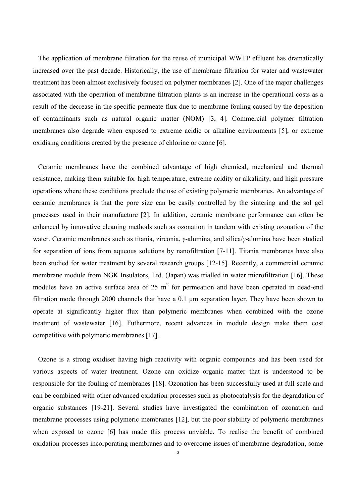The application of membrane filtration for the reuse of municipal WWTP effluent has dramatically increased over the past decade. Historically, the use of membrane filtration for water and wastewater treatment has been almost exclusively focused on polymer membranes [2]. One of the major challenges associated with the operation of membrane filtration plants is an increase in the operational costs as a result of the decrease in the specific permeate flux due to membrane fouling caused by the deposition of contaminants such as natural organic matter (NOM) [3, 4]. Commercial polymer filtration membranes also degrade when exposed to extreme acidic or alkaline environments [5], or extreme oxidising conditions created by the presence of chlorine or ozone [6].

 Ceramic membranes have the combined advantage of high chemical, mechanical and thermal resistance, making them suitable for high temperature, extreme acidity or alkalinity, and high pressure operations where these conditions preclude the use of existing polymeric membranes. An advantage of ceramic membranes is that the pore size can be easily controlled by the sintering and the sol gel processes used in their manufacture [2]. In addition, ceramic membrane performance can often be enhanced by innovative cleaning methods such as ozonation in tandem with existing ozonation of the water. Ceramic membranes such as titania, zirconia, *γ*-alumina, and silica/*γ*-alumina have been studied for separation of ions from aqueous solutions by nanofiltration [7-11]. Titania membranes have also been studied for water treatment by several research groups [12-15]. Recently, a commercial ceramic membrane module from NGK Insulators, Ltd. (Japan) was trialled in water microfiltration [16]. These modules have an active surface area of  $25 \text{ m}^2$  for permeation and have been operated in dead-end filtration mode through 2000 channels that have a 0.1 µm separation layer. They have been shown to operate at significantly higher flux than polymeric membranes when combined with the ozone treatment of wastewater [16]. Futhermore, recent advances in module design make them cost competitive with polymeric membranes [17].

 Ozone is a strong oxidiser having high reactivity with organic compounds and has been used for various aspects of water treatment. Ozone can oxidize organic matter that is understood to be responsible for the fouling of membranes [18]. Ozonation has been successfully used at full scale and can be combined with other advanced oxidation processes such as photocatalysis for the degradation of organic substances [19-21]. Several studies have investigated the combination of ozonation and membrane processes using polymeric membranes [12], but the poor stability of polymeric membranes when exposed to ozone [6] has made this process unviable. To realise the benefit of combined oxidation processes incorporating membranes and to overcome issues of membrane degradation, some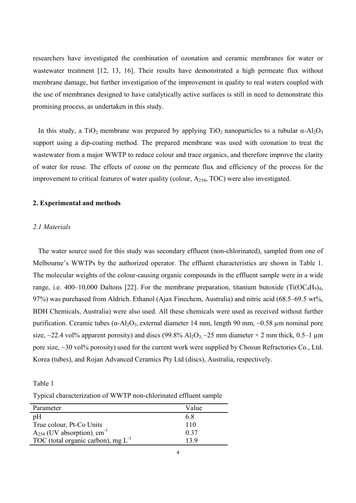researchers have investigated the combination of ozonation and ceramic membranes for water or wastewater treatment [12, 13, 16]. Their results have demonstrated a high permeate flux without membrane damage, but further investigation of the improvement in quality to real waters coupled with the use of membranes designed to have catalytically active surfaces is still in need to demonstrate this promising process, as undertaken in this study.

In this study, a TiO<sub>2</sub> membrane was prepared by applying TiO<sub>2</sub> nanoparticles to a tubular  $\alpha$ -Al<sub>2</sub>O<sub>3</sub> support using a dip-coating method. The prepared membrane was used with ozonation to treat the wastewater from a major WWTP to reduce colour and trace organics, and therefore improve the clarity of water for reuse. The effects of ozone on the permeate flux and efficiency of the process for the improvement to critical features of water quality (colour,  $A_{254}$ , TOC) were also investigated.

#### **2. Experimental and methods**

#### *2.1 Materials*

 The water source used for this study was secondary effluent (non-chlorinated), sampled from one of Melbourne's WWTPs by the authorized operator. The effluent characteristics are shown in Table 1. The molecular weights of the colour-causing organic compounds in the effluent sample were in a wide range, i.e. 400–10,000 Daltons [22]. For the membrane preparation, titanium butoxide (Ti(OC<sub>4</sub>H<sub>9</sub>)<sub>4</sub>, 97%) was purchased from Aldrich. Ethanol (Ajax Finechem, Australia) and nitric acid (68.5–69.5 wt%, BDH Chemicals, Australia) were also used. All these chemicals were used as received without further purification. Ceramic tubes (α-Al<sub>2</sub>O<sub>3</sub>, external diameter 14 mm, length 90 mm, ~0.58 μm nominal pore size, ~22.4 vol% apparent porosity) and discs (99.8% Al<sub>2</sub>O<sub>3,</sub> ~25 mm diameter × 2 mm thick, 0.5–1 µm pore size, ~30 vol% porosity) used for the current work were supplied by Chosun Refractories Co., Ltd. Korea (tubes), and Rojan Advanced Ceramics Pty Ltd (discs), Australia, respectively.

Table 1

Typical characterization of WWTP non-chlorinated effluent sample

| Parameter                                   | Value |
|---------------------------------------------|-------|
| pH                                          | 68    |
| True colour, Pt-Co Units                    | 110   |
| $A_{254}$ (UV absorption), cm <sup>-1</sup> | 0.37  |
| TOC (total organic carbon), mg $L^{-1}$     | 13 Q  |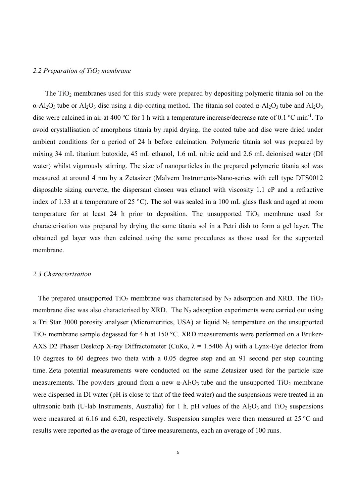#### *2.2 Preparation of TiO2 membrane*

The  $TiO<sub>2</sub>$  membranes used for this study were prepared by depositing polymeric titania sol on the  $\alpha$ -Al<sub>2</sub>O<sub>3</sub> tube or Al<sub>2</sub>O<sub>3</sub> disc using a dip-coating method. The titania sol coated  $\alpha$ -Al<sub>2</sub>O<sub>3</sub> tube and Al<sub>2</sub>O<sub>3</sub> disc were calcined in air at 400 °C for 1 h with a temperature increase/decrease rate of 0.1 °C min<sup>-1</sup>. To avoid crystallisation of amorphous titania by rapid drying, the coated tube and disc were dried under ambient conditions for a period of 24 h before calcination. Polymeric titania sol was prepared by mixing 34 mL titanium butoxide, 45 mL ethanol, 1.6 mL nitric acid and 2.6 mL deionised water (DI water) whilst vigorously stirring. The size of nanoparticles in the prepared polymeric titania sol was measured at around 4 nm by a Zetasizer (Malvern Instruments-Nano-series with cell type DTS0012 disposable sizing curvette, the dispersant chosen was ethanol with viscosity 1.1 cP and a refractive index of 1.33 at a temperature of 25 °C). The sol was sealed in a 100 mL glass flask and aged at room temperature for at least 24 h prior to deposition. The unsupported  $TiO<sub>2</sub>$  membrane used for characterisation was prepared by drying the same titania sol in a Petri dish to form a gel layer. The obtained gel layer was then calcined using the same procedures as those used for the supported membrane.

# *2.3 Characterisation*

The prepared unsupported  $TiO<sub>2</sub>$  membrane was characterised by  $N<sub>2</sub>$  adsorption and XRD. The  $TiO<sub>2</sub>$ membrane disc was also characterised by XRD. The  $N_2$  adsorption experiments were carried out using a Tri Star 3000 porosity analyser (Micromeritics, USA) at liquid  $N_2$  temperature on the unsupported TiO<sub>2</sub> membrane sample degassed for 4 h at 150 °C. XRD measurements were performed on a Bruker-AXS D2 Phaser Desktop X-ray Diffractometer (CuK $\alpha$ ,  $\lambda$  = 1.5406 Å) with a Lynx-Eye detector from 10 degrees to 60 degrees two theta with a 0.05 degree step and an 91 second per step counting time. Zeta potential measurements were conducted on the same Zetasizer used for the particle size measurements. The powders ground from a new  $\alpha$ -Al<sub>2</sub>O<sub>3</sub> tube and the unsupported TiO<sub>2</sub> membrane were dispersed in DI water (pH is close to that of the feed water) and the suspensions were treated in an ultrasonic bath (U-lab Instruments, Australia) for 1 h. pH values of the  $Al_2O_3$  and  $TiO_2$  suspensions were measured at 6.16 and 6.20, respectively. Suspension samples were then measured at 25 °C and results were reported as the average of three measurements, each an average of 100 runs.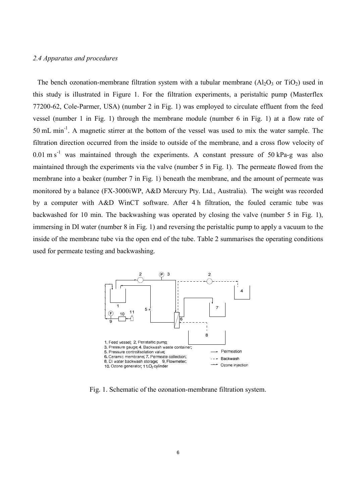# *2.4 Apparatus and procedures*

The bench ozonation-membrane filtration system with a tubular membrane (Al<sub>2</sub>O<sub>3</sub> or TiO<sub>2</sub>) used in this study is illustrated in Figure 1. For the filtration experiments, a peristaltic pump (Masterflex 77200-62, Cole-Parmer, USA) (number 2 in Fig. 1) was employed to circulate effluent from the feed vessel (number 1 in Fig. 1) through the membrane module (number 6 in Fig. 1) at a flow rate of 50 mL min-1. A magnetic stirrer at the bottom of the vessel was used to mix the water sample. The filtration direction occurred from the inside to outside of the membrane, and a cross flow velocity of  $0.01 \text{ m s}^{-1}$  was maintained through the experiments. A constant pressure of 50 kPa-g was also maintained through the experiments via the valve (number 5 in Fig. 1). The permeate flowed from the membrane into a beaker (number 7 in Fig. 1) beneath the membrane, and the amount of permeate was monitored by a balance (FX-3000iWP, A&D Mercury Pty. Ltd., Australia). The weight was recorded by a computer with A&D WinCT software. After 4 h filtration, the fouled ceramic tube was backwashed for 10 min. The backwashing was operated by closing the valve (number 5 in Fig. 1), immersing in DI water (number 8 in Fig. 1) and reversing the peristaltic pump to apply a vacuum to the inside of the membrane tube via the open end of the tube. Table 2 summarises the operating conditions used for permeate testing and backwashing.



Fig. 1. Schematic of the ozonation-membrane filtration system.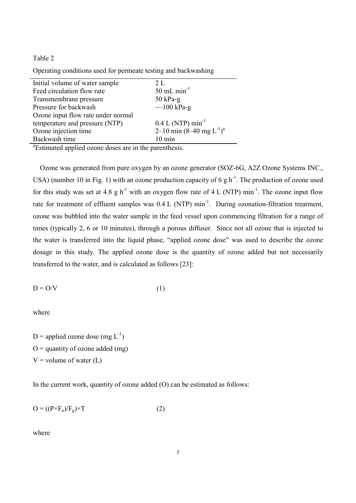# Table 2

| Initial volume of water sample     | 2L                                     |
|------------------------------------|----------------------------------------|
| Feed circulation flow rate         | $50$ mL min <sup>-1</sup>              |
| Transmembrane pressure             | $50$ kPa-g                             |
| Pressure for backwash              | $-100$ kPa-g                           |
| Ozone input flow rate under normal |                                        |
| temperature and pressure (NTP)     | $0.4 L (NTP) min^{-1}$                 |
| Ozone injection time               | 2–10 min $(8-40 \text{ mg } L^{-1})^a$ |
| Backwash time                      | $10 \text{ min}$                       |

Operating conditions used for permeate testing and backwashing

a Estimated applied ozone doses are in the parenthesis.

 Ozone was generated from pure oxygen by an ozone generator (SOZ-6G, A2Z Ozone Systems INC., USA) (number 10 in Fig. 1) with an ozone production capacity of 6 g  $h^{-1}$ . The production of ozone used for this study was set at 4.8 g h<sup>-1</sup> with an oxygen flow rate of 4 L (NTP) min<sup>-1</sup>. The ozone input flow rate for treatment of effluent samples was  $0.4$  L (NTP) min<sup>-1</sup>. During ozonation-filtration treatment, ozone was bubbled into the water sample in the feed vessel upon commencing filtration for a range of times (typically 2, 6 or 10 minutes), through a porous diffuser. Since not all ozone that is injected to the water is transferred into the liquid phase, "applied ozone dose" was used to describe the ozone dosage in this study. The applied ozone dose is the quantity of ozone added but not necessarily transferred to the water, and is calculated as follows [23]:

$$
D = O/V \tag{1}
$$

where

D = applied ozone dose (mg  $L^{-1}$ )  $O =$  quantity of ozone added (mg)  $V =$  volume of water  $(L)$ 

In the current work, quantity of ozone added (O) can be estimated as follows:

$$
O = ((P \times F_o)/F_g) \times T
$$
 (2)

where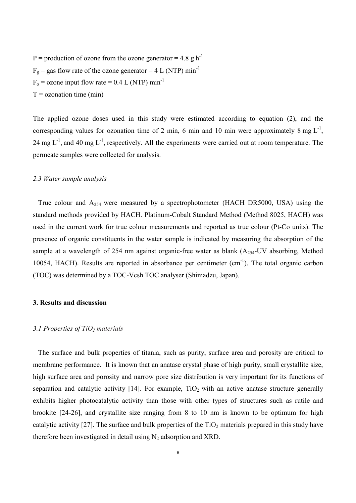P = production of ozone from the ozone generator =  $4.8 \text{ g h}^{-1}$  $F<sub>g</sub>$  = gas flow rate of the ozone generator = 4 L (NTP) min<sup>-1</sup>  $F<sub>o</sub>$  = ozone input flow rate = 0.4 L (NTP) min<sup>-1</sup>  $T =$  ozonation time (min)

The applied ozone doses used in this study were estimated according to equation (2), and the corresponding values for ozonation time of 2 min, 6 min and 10 min were approximately 8 mg  $L^{-1}$ , 24 mg  $L^{-1}$ , and 40 mg  $L^{-1}$ , respectively. All the experiments were carried out at room temperature. The permeate samples were collected for analysis.

#### *2.3 Water sample analysis*

 True colour and A254 were measured by a spectrophotometer (HACH DR5000, USA) using the standard methods provided by HACH. Platinum-Cobalt Standard Method (Method 8025, HACH) was used in the current work for true colour measurements and reported as true colour (Pt-Co units). The presence of organic constituents in the water sample is indicated by measuring the absorption of the sample at a wavelength of 254 nm against organic-free water as blank  $(A_{254}$ -UV absorbing, Method 10054, HACH). Results are reported in absorbance per centimeter (cm-1). The total organic carbon (TOC) was determined by a TOC-Vcsh TOC analyser (Shimadzu, Japan).

# **3. Results and discussion**

#### *3.1 Properties of TiO2 materials*

 The surface and bulk properties of titania, such as purity, surface area and porosity are critical to membrane performance. It is known that an anatase crystal phase of high purity, small crystallite size, high surface area and porosity and narrow pore size distribution is very important for its functions of separation and catalytic activity  $[14]$ . For example,  $TiO<sub>2</sub>$  with an active anatase structure generally exhibits higher photocatalytic activity than those with other types of structures such as rutile and brookite [24-26], and crystallite size ranging from 8 to 10 nm is known to be optimum for high catalytic activity [27]. The surface and bulk properties of the  $TiO<sub>2</sub>$  materials prepared in this study have therefore been investigated in detail using  $N_2$  adsorption and XRD.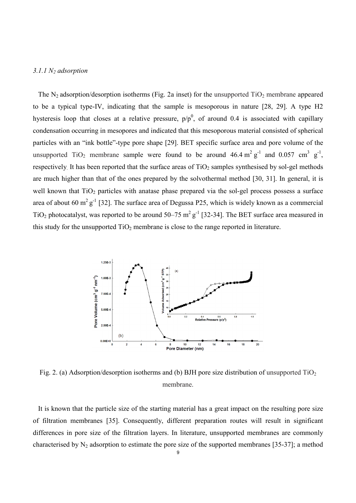# *3.1.1 N2 adsorption*

The  $N_2$  adsorption/desorption isotherms (Fig. 2a inset) for the unsupported  $TiO_2$  membrane appeared to be a typical type-IV, indicating that the sample is mesoporous in nature [28, 29]. A type H2 hysteresis loop that closes at a relative pressure,  $p/p<sup>0</sup>$ , of around 0.4 is associated with capillary condensation occurring in mesopores and indicated that this mesoporous material consisted of spherical particles with an "ink bottle"-type pore shape [29]. BET specific surface area and pore volume of the unsupported TiO<sub>2</sub> membrane sample were found to be around  $46.4 \text{ m}^2 \text{ g}^{-1}$  and  $0.057 \text{ cm}^3 \text{ g}^{-1}$ , respectively. It has been reported that the surface areas of  $TiO<sub>2</sub>$  samples synthesised by sol-gel methods are much higher than that of the ones prepared by the solvothermal method [30, 31]. In general, it is well known that  $TiO<sub>2</sub>$  particles with anatase phase prepared via the sol-gel process possess a surface area of about 60 m<sup>2</sup> g<sup>-1</sup> [32]. The surface area of Degussa P25, which is widely known as a commercial TiO<sub>2</sub> photocatalyst, was reported to be around 50–75 m<sup>2</sup> g<sup>-1</sup> [32-34]. The BET surface area measured in this study for the unsupported  $TiO<sub>2</sub>$  membrane is close to the range reported in literature.



Fig. 2. (a) Adsorption/desorption isotherms and (b) BJH pore size distribution of unsupported  $TiO<sub>2</sub>$ membrane.

 It is known that the particle size of the starting material has a great impact on the resulting pore size of filtration membranes [35]. Consequently, different preparation routes will result in significant differences in pore size of the filtration layers. In literature, unsupported membranes are commonly characterised by  $N_2$  adsorption to estimate the pore size of the supported membranes [35-37]; a method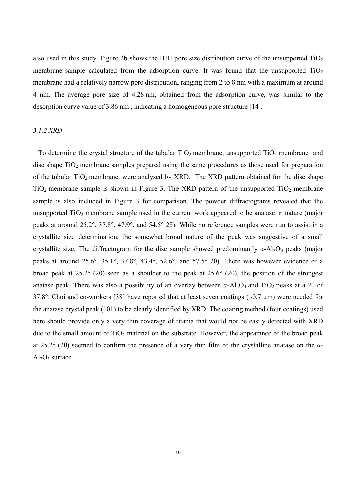also used in this study. Figure 2b shows the BJH pore size distribution curve of the unsupported  $TiO<sub>2</sub>$ membrane sample calculated from the adsorption curve. It was found that the unsupported  $TiO<sub>2</sub>$ membrane had a relatively narrow pore distribution, ranging from 2 to 8 nm with a maximum at around 4 nm. The average pore size of 4.28 nm, obtained from the adsorption curve, was similar to the desorption curve value of 3.86 nm , indicating a homogeneous pore structure [14].

# *3.1.2 XRD*

To determine the crystal structure of the tubular  $TiO<sub>2</sub>$  membrane, unsupported  $TiO<sub>2</sub>$  membrane and disc shape  $TiO<sub>2</sub>$  membrane samples prepared using the same procedures as those used for preparation of the tubular TiO<sub>2</sub> membrane, were analysed by XRD. The XRD pattern obtained for the disc shape  $TiO<sub>2</sub>$  membrane sample is shown in Figure 3. The XRD pattern of the unsupported  $TiO<sub>2</sub>$  membrane sample is also included in Figure 3 for comparison. The powder diffractograms revealed that the unsupported  $TiO<sub>2</sub>$  membrane sample used in the current work appeared to be anatase in nature (major peaks at around 25.2°, 37.8°, 47.9°, and 54.5° 2θ). While no reference samples were run to assist in a crystallite size determination, the somewhat broad nature of the peak was suggestive of a small crystallite size. The diffractogram for the disc sample showed predominantly  $\alpha$ -Al<sub>2</sub>O<sub>3</sub> peaks (major peaks at around 25.6°, 35.1°, 37.8°, 43.4°, 52.6°, and 57.5° 2θ). There was however evidence of a broad peak at 25.2° (2θ) seen as a shoulder to the peak at 25.6° (2θ), the position of the strongest anatase peak. There was also a possibility of an overlay between  $\alpha$ -Al<sub>2</sub>O<sub>3</sub> and TiO<sub>2</sub> peaks at a 2θ of 37.8°. Choi and co-workers [38] have reported that at least seven coatings (~0.7 µm) were needed for the anatase crystal peak (101) to be clearly identified by XRD. The coating method (four coatings) used here should provide only a very thin coverage of titania that would not be easily detected with XRD due to the small amount of  $TiO<sub>2</sub>$  material on the substrate. However, the appearance of the broad peak at 25.2° (2θ) seemed to confirm the presence of a very thin film of the crystalline anatase on the α- $Al_2O_3$  surface.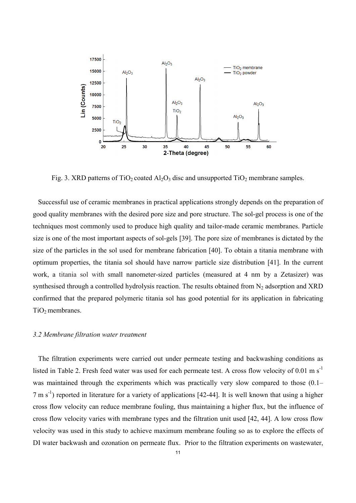

Fig. 3. XRD patterns of  $TiO<sub>2</sub>$  coated Al<sub>2</sub>O<sub>3</sub> disc and unsupported  $TiO<sub>2</sub>$  membrane samples.

 Successful use of ceramic membranes in practical applications strongly depends on the preparation of good quality membranes with the desired pore size and pore structure. The sol-gel process is one of the techniques most commonly used to produce high quality and tailor-made ceramic membranes. Particle size is one of the most important aspects of sol-gels [39]. The pore size of membranes is dictated by the size of the particles in the sol used for membrane fabrication [40]. To obtain a titania membrane with optimum properties, the titania sol should have narrow particle size distribution [41]. In the current work, a titania sol with small nanometer-sized particles (measured at 4 nm by a Zetasizer) was synthesised through a controlled hydrolysis reaction. The results obtained from  $N_2$  adsorption and XRD confirmed that the prepared polymeric titania sol has good potential for its application in fabricating  $TiO<sub>2</sub>$  membranes.

# *3.2 Membrane filtration water treatment*

 The filtration experiments were carried out under permeate testing and backwashing conditions as listed in Table 2. Fresh feed water was used for each permeate test. A cross flow velocity of 0.01 m  $s^{-1}$ was maintained through the experiments which was practically very slow compared to those  $(0.1 7 \text{ m s}^{-1}$ ) reported in literature for a variety of applications [42-44]. It is well known that using a higher cross flow velocity can reduce membrane fouling, thus maintaining a higher flux, but the influence of cross flow velocity varies with membrane types and the filtration unit used [42, 44]. A low cross flow velocity was used in this study to achieve maximum membrane fouling so as to explore the effects of DI water backwash and ozonation on permeate flux. Prior to the filtration experiments on wastewater,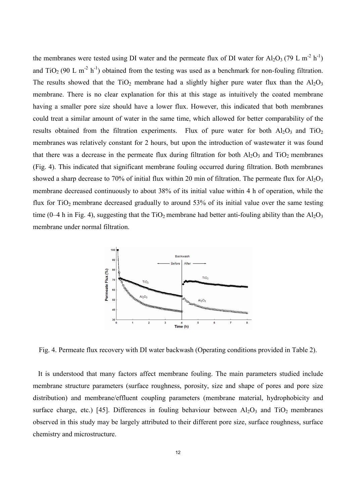the membranes were tested using DI water and the permeate flux of DI water for Al<sub>2</sub>O<sub>3</sub> (79 L m<sup>-2</sup> h<sup>-1</sup>) and TiO<sub>2</sub> (90 L m<sup>-2</sup> h<sup>-1</sup>) obtained from the testing was used as a benchmark for non-fouling filtration. The results showed that the TiO<sub>2</sub> membrane had a slightly higher pure water flux than the  $Al_2O_3$ membrane. There is no clear explanation for this at this stage as intuitively the coated membrane having a smaller pore size should have a lower flux. However, this indicated that both membranes could treat a similar amount of water in the same time, which allowed for better comparability of the results obtained from the filtration experiments. Flux of pure water for both  $Al_2O_3$  and  $TiO_2$ membranes was relatively constant for 2 hours, but upon the introduction of wastewater it was found that there was a decrease in the permeate flux during filtration for both  $A<sub>12</sub>O<sub>3</sub>$  and TiO<sub>2</sub> membranes (Fig. 4). This indicated that significant membrane fouling occurred during filtration. Both membranes showed a sharp decrease to 70% of initial flux within 20 min of filtration. The permeate flux for  $Al_2O_3$ membrane decreased continuously to about 38% of its initial value within 4 h of operation, while the flux for  $TiO<sub>2</sub>$  membrane decreased gradually to around 53% of its initial value over the same testing time (0–4 h in Fig. 4), suggesting that the  $TiO<sub>2</sub>$  membrane had better anti-fouling ability than the Al<sub>2</sub>O<sub>3</sub> membrane under normal filtration.



Fig. 4. Permeate flux recovery with DI water backwash (Operating conditions provided in Table 2).

 It is understood that many factors affect membrane fouling. The main parameters studied include membrane structure parameters (surface roughness, porosity, size and shape of pores and pore size distribution) and membrane/effluent coupling parameters (membrane material, hydrophobicity and surface charge, etc.) [45]. Differences in fouling behaviour between  $Al_2O_3$  and  $TiO_2$  membranes observed in this study may be largely attributed to their different pore size, surface roughness, surface chemistry and microstructure.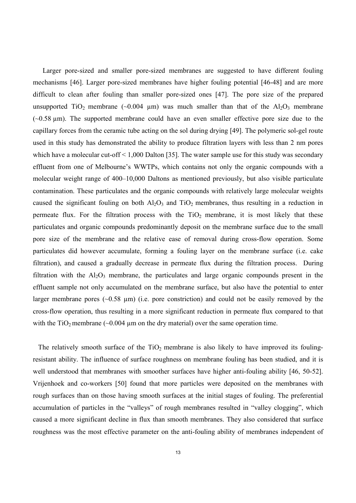Larger pore-sized and smaller pore-sized membranes are suggested to have different fouling mechanisms [46]. Larger pore-sized membranes have higher fouling potential [46-48] and are more difficult to clean after fouling than smaller pore-sized ones [47]. The pore size of the prepared unsupported TiO<sub>2</sub> membrane (~0.004 µm) was much smaller than that of the  $Al_2O_3$  membrane  $(-0.58 \text{ µm})$ . The supported membrane could have an even smaller effective pore size due to the capillary forces from the ceramic tube acting on the sol during drying [49]. The polymeric sol-gel route used in this study has demonstrated the ability to produce filtration layers with less than 2 nm pores which have a molecular cut-off < 1,000 Dalton [35]. The water sample use for this study was secondary effluent from one of Melbourne's WWTPs, which contains not only the organic compounds with a molecular weight range of 400–10,000 Daltons as mentioned previously, but also visible particulate contamination. These particulates and the organic compounds with relatively large molecular weights caused the significant fouling on both  $A_2O_3$  and  $TiO_2$  membranes, thus resulting in a reduction in permeate flux. For the filtration process with the  $TiO<sub>2</sub>$  membrane, it is most likely that these particulates and organic compounds predominantly deposit on the membrane surface due to the small pore size of the membrane and the relative ease of removal during cross-flow operation. Some particulates did however accumulate, forming a fouling layer on the membrane surface (i.e. cake filtration), and caused a gradually decrease in permeate flux during the filtration process. During filtration with the  $Al_2O_3$  membrane, the particulates and large organic compounds present in the effluent sample not only accumulated on the membrane surface, but also have the potential to enter larger membrane pores  $(-0.58 \mu m)$  (i.e. pore constriction) and could not be easily removed by the cross-flow operation, thus resulting in a more significant reduction in permeate flux compared to that with the  $TiO<sub>2</sub>$  membrane (~0.004 µm on the dry material) over the same operation time.

The relatively smooth surface of the  $TiO<sub>2</sub>$  membrane is also likely to have improved its foulingresistant ability. The influence of surface roughness on membrane fouling has been studied, and it is well understood that membranes with smoother surfaces have higher anti-fouling ability [46, 50-52]. Vrijenhoek and co-workers [50] found that more particles were deposited on the membranes with rough surfaces than on those having smooth surfaces at the initial stages of fouling. The preferential accumulation of particles in the "valleys" of rough membranes resulted in "valley clogging", which caused a more significant decline in flux than smooth membranes. They also considered that surface roughness was the most effective parameter on the anti-fouling ability of membranes independent of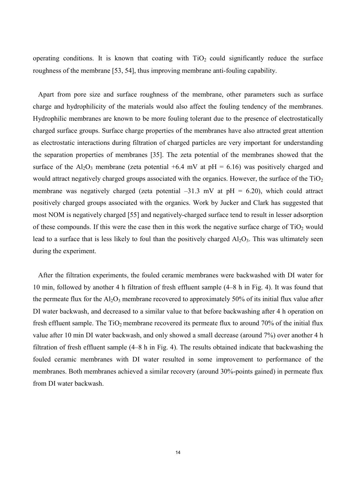operating conditions. It is known that coating with  $TiO<sub>2</sub>$  could significantly reduce the surface roughness of the membrane [53, 54], thus improving membrane anti-fouling capability.

 Apart from pore size and surface roughness of the membrane, other parameters such as surface charge and hydrophilicity of the materials would also affect the fouling tendency of the membranes. Hydrophilic membranes are known to be more fouling tolerant due to the presence of electrostatically charged surface groups. Surface charge properties of the membranes have also attracted great attention as electrostatic interactions during filtration of charged particles are very important for understanding the separation properties of membranes [35]. The zeta potential of the membranes showed that the surface of the Al<sub>2</sub>O<sub>3</sub> membrane (zeta potential  $+6.4$  mV at pH = 6.16) was positively charged and would attract negatively charged groups associated with the organics. However, the surface of the  $TiO<sub>2</sub>$ membrane was negatively charged (zeta potential  $-31.3$  mV at pH = 6.20), which could attract positively charged groups associated with the organics. Work by Jucker and Clark has suggested that most NOM is negatively charged [55] and negatively-charged surface tend to result in lesser adsorption of these compounds. If this were the case then in this work the negative surface charge of  $TiO<sub>2</sub>$  would lead to a surface that is less likely to foul than the positively charged  $Al_2O_3$ . This was ultimately seen during the experiment.

 After the filtration experiments, the fouled ceramic membranes were backwashed with DI water for 10 min, followed by another 4 h filtration of fresh effluent sample (4–8 h in Fig. 4). It was found that the permeate flux for the  $Al_2O_3$  membrane recovered to approximately 50% of its initial flux value after DI water backwash, and decreased to a similar value to that before backwashing after 4 h operation on fresh effluent sample. The  $TiO<sub>2</sub>$  membrane recovered its permeate flux to around 70% of the initial flux value after 10 min DI water backwash, and only showed a small decrease (around 7%) over another 4 h filtration of fresh effluent sample (4–8 h in Fig. 4). The results obtained indicate that backwashing the fouled ceramic membranes with DI water resulted in some improvement to performance of the membranes. Both membranes achieved a similar recovery (around 30%-points gained) in permeate flux from DI water backwash.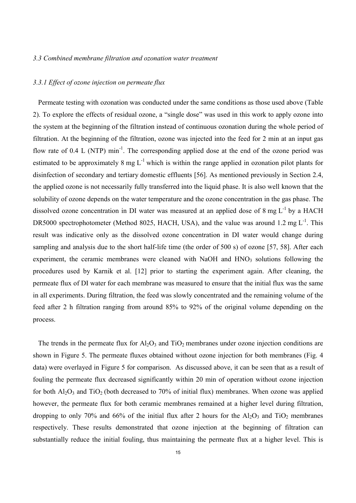#### *3.3 Combined membrane filtration and ozonation water treatment*

#### *3.3.1 Effect of ozone injection on permeate flux*

 Permeate testing with ozonation was conducted under the same conditions as those used above (Table 2). To explore the effects of residual ozone, a "single dose" was used in this work to apply ozone into the system at the beginning of the filtration instead of continuous ozonation during the whole period of filtration. At the beginning of the filtration, ozone was injected into the feed for 2 min at an input gas flow rate of  $0.4$  L (NTP) min<sup>-1</sup>. The corresponding applied dose at the end of the ozone period was estimated to be approximately 8 mg  $L^{-1}$  which is within the range applied in ozonation pilot plants for disinfection of secondary and tertiary domestic effluents [56]. As mentioned previously in Section 2.4, the applied ozone is not necessarily fully transferred into the liquid phase. It is also well known that the solubility of ozone depends on the water temperature and the ozone concentration in the gas phase. The dissolved ozone concentration in DI water was measured at an applied dose of  $8 \text{ mg } L^{-1}$  by a HACH DR5000 spectrophotometer (Method 8025, HACH, USA), and the value was around 1.2 mg  $L^{-1}$ . This result was indicative only as the dissolved ozone concentration in DI water would change during sampling and analysis due to the short half-life time (the order of 500 s) of ozone [57, 58]. After each experiment, the ceramic membranes were cleaned with NaOH and  $HNO<sub>3</sub>$  solutions following the procedures used by Karnik et al. [12] prior to starting the experiment again. After cleaning, the permeate flux of DI water for each membrane was measured to ensure that the initial flux was the same in all experiments. During filtration, the feed was slowly concentrated and the remaining volume of the feed after 2 h filtration ranging from around 85% to 92% of the original volume depending on the process.

The trends in the permeate flux for  $A<sub>2</sub>O<sub>3</sub>$  and TiO<sub>2</sub> membranes under ozone injection conditions are shown in Figure 5. The permeate fluxes obtained without ozone injection for both membranes (Fig. 4 data) were overlayed in Figure 5 for comparison. As discussed above, it can be seen that as a result of fouling the permeate flux decreased significantly within 20 min of operation without ozone injection for both  $Al_2O_3$  and  $TiO_2$  (both decreased to 70% of initial flux) membranes. When ozone was applied however, the permeate flux for both ceramic membranes remained at a higher level during filtration, dropping to only 70% and 66% of the initial flux after 2 hours for the  $A<sub>1</sub>O<sub>3</sub>$  and TiO<sub>2</sub> membranes respectively. These results demonstrated that ozone injection at the beginning of filtration can substantially reduce the initial fouling, thus maintaining the permeate flux at a higher level. This is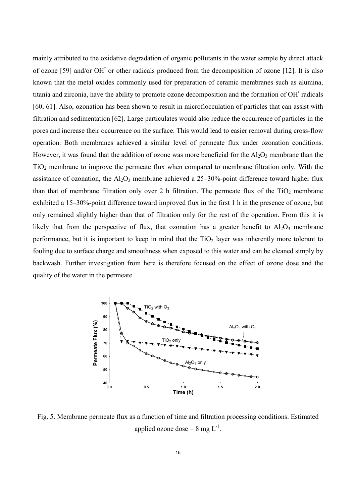mainly attributed to the oxidative degradation of organic pollutants in the water sample by direct attack of ozone [59] and/or OH' or other radicals produced from the decomposition of ozone [12]. It is also known that the metal oxides commonly used for preparation of ceramic membranes such as alumina, titania and zirconia, have the ability to promote ozone decomposition and the formation of OH' radicals [60, 61]. Also, ozonation has been shown to result in microflocculation of particles that can assist with filtration and sedimentation [62]. Large particulates would also reduce the occurrence of particles in the pores and increase their occurrence on the surface. This would lead to easier removal during cross-flow operation. Both membranes achieved a similar level of permeate flux under ozonation conditions. However, it was found that the addition of ozone was more beneficial for the  $Al_2O_3$  membrane than the  $TiO<sub>2</sub>$  membrane to improve the permeate flux when compared to membrane filtration only. With the assistance of ozonation, the  $A<sub>1</sub>O<sub>3</sub>$  membrane achieved a 25–30%-point difference toward higher flux than that of membrane filtration only over 2 h filtration. The permeate flux of the  $TiO<sub>2</sub>$  membrane exhibited a 15–30%-point difference toward improved flux in the first 1 h in the presence of ozone, but only remained slightly higher than that of filtration only for the rest of the operation. From this it is likely that from the perspective of flux, that ozonation has a greater benefit to  $A_2O_3$  membrane performance, but it is important to keep in mind that the  $TiO<sub>2</sub>$  layer was inherently more tolerant to fouling due to surface charge and smoothness when exposed to this water and can be cleaned simply by backwash. Further investigation from here is therefore focused on the effect of ozone dose and the quality of the water in the permeate.



Fig. 5. Membrane permeate flux as a function of time and filtration processing conditions. Estimated applied ozone dose =  $8 \text{ mg } L^{-1}$ .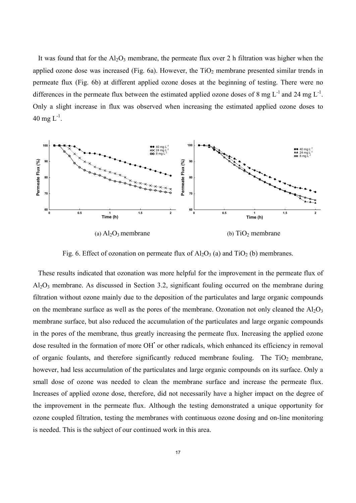It was found that for the  $A<sub>12</sub>O<sub>3</sub>$  membrane, the permeate flux over 2 h filtration was higher when the applied ozone dose was increased (Fig. 6a). However, the  $TiO<sub>2</sub>$  membrane presented similar trends in permeate flux (Fig. 6b) at different applied ozone doses at the beginning of testing. There were no differences in the permeate flux between the estimated applied ozone doses of 8 mg  $L^{-1}$  and 24 mg  $L^{-1}$ . Only a slight increase in flux was observed when increasing the estimated applied ozone doses to 40 mg  $L^{-1}$ .



Fig. 6. Effect of ozonation on permeate flux of  $Al_2O_3$  (a) and  $TiO_2$  (b) membranes.

 These results indicated that ozonation was more helpful for the improvement in the permeate flux of  $Al_2O_3$  membrane. As discussed in Section 3.2, significant fouling occurred on the membrane during filtration without ozone mainly due to the deposition of the particulates and large organic compounds on the membrane surface as well as the pores of the membrane. Ozonation not only cleaned the  $A_1O_3$ membrane surface, but also reduced the accumulation of the particulates and large organic compounds in the pores of the membrane, thus greatly increasing the permeate flux. Increasing the applied ozone dose resulted in the formation of more OH' or other radicals, which enhanced its efficiency in removal of organic foulants, and therefore significantly reduced membrane fouling. The  $TiO<sub>2</sub>$  membrane, however, had less accumulation of the particulates and large organic compounds on its surface. Only a small dose of ozone was needed to clean the membrane surface and increase the permeate flux. Increases of applied ozone dose, therefore, did not necessarily have a higher impact on the degree of the improvement in the permeate flux. Although the testing demonstrated a unique opportunity for ozone coupled filtration, testing the membranes with continuous ozone dosing and on-line monitoring is needed. This is the subject of our continued work in this area.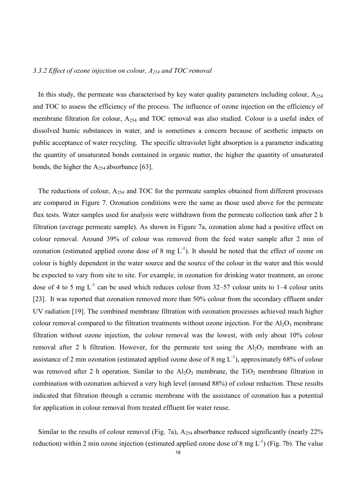### *3.3.2 Effect of ozone injection on colour, A254 and TOC removal*

In this study, the permeate was characterised by key water quality parameters including colour,  $A_{254}$ and TOC to assess the efficiency of the process. The influence of ozone injection on the efficiency of membrane filtration for colour, A254 and TOC removal was also studied. Colour is a useful index of dissolved humic substances in water, and is sometimes a concern because of aesthetic impacts on public acceptance of water recycling. The specific ultraviolet light absorption is a parameter indicating the quantity of unsaturated bonds contained in organic matter, the higher the quantity of unsaturated bonds, the higher the  $A_{254}$  absorbance [63].

 The reductions of colour, A254 and TOC for the permeate samples obtained from different processes are compared in Figure 7. Ozonation conditions were the same as those used above for the permeate flux tests. Water samples used for analysis were withdrawn from the permeate collection tank after 2 h filtration (average permeate sample). As shown in Figure 7a, ozonation alone had a positive effect on colour removal. Around 39% of colour was removed from the feed water sample after 2 min of ozonation (estimated applied ozone dose of 8 mg  $L^{-1}$ ). It should be noted that the effect of ozone on colour is highly dependent in the water source and the source of the colour in the water and this would be expected to vary from site to site. For example, in ozonation for drinking water treatment, an ozone dose of 4 to 5 mg  $L^{-1}$  can be used which reduces colour from 32–57 colour units to 1–4 colour units [23]. It was reported that ozonation removed more than 50% colour from the secondary effluent under UV radiation [19]. The combined membrane filtration with ozonation processes achieved much higher colour removal compared to the filtration treatments without ozone injection. For the  $Al_2O_3$  membrane filtration without ozone injection, the colour removal was the lowest, with only about 10% colour removal after 2 h filtration. However, for the permeate test using the  $Al_2O_3$  membrane with an assistance of 2 min ozonation (estimated applied ozone dose of 8 mg  $L^{-1}$ ), approximately 68% of colour was removed after 2 h operation. Similar to the  $Al_2O_3$  membrane, the TiO<sub>2</sub> membrane filtration in combination with ozonation achieved a very high level (around 88%) of colour reduction. These results indicated that filtration through a ceramic membrane with the assistance of ozonation has a potential for application in colour removal from treated effluent for water reuse.

 Similar to the results of colour removal (Fig. 7a), A254 absorbance reduced significantly (nearly 22% reduction) within 2 min ozone injection (estimated applied ozone dose of 8 mg  $L^{-1}$ ) (Fig. 7b). The value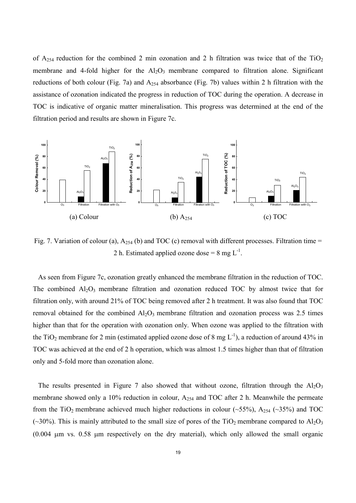of  $A_{254}$  reduction for the combined 2 min ozonation and 2 h filtration was twice that of the TiO<sub>2</sub> membrane and 4-fold higher for the  $A_1O_3$  membrane compared to filtration alone. Significant reductions of both colour (Fig. 7a) and  $A_{254}$  absorbance (Fig. 7b) values within 2 h filtration with the assistance of ozonation indicated the progress in reduction of TOC during the operation. A decrease in TOC is indicative of organic matter mineralisation. This progress was determined at the end of the filtration period and results are shown in Figure 7c.



Fig. 7. Variation of colour (a),  $A_{254}$  (b) and TOC (c) removal with different processes. Filtration time = 2 h. Estimated applied ozone dose =  $8 \text{ mg } L^{-1}$ .

 As seen from Figure 7c, ozonation greatly enhanced the membrane filtration in the reduction of TOC. The combined  $A_1_2O_3$  membrane filtration and ozonation reduced TOC by almost twice that for filtration only, with around 21% of TOC being removed after 2 h treatment. It was also found that TOC removal obtained for the combined  $A_1O_3$  membrane filtration and ozonation process was 2.5 times higher than that for the operation with ozonation only. When ozone was applied to the filtration with the TiO<sub>2</sub> membrane for 2 min (estimated applied ozone dose of 8 mg  $L^{-1}$ ), a reduction of around 43% in TOC was achieved at the end of 2 h operation, which was almost 1.5 times higher than that of filtration only and 5-fold more than ozonation alone.

The results presented in Figure 7 also showed that without ozone, filtration through the  $A_1O_3$ membrane showed only a 10% reduction in colour, A<sub>254</sub> and TOC after 2 h. Meanwhile the permeate from the TiO<sub>2</sub> membrane achieved much higher reductions in colour (~55%), A<sub>254</sub> (~35%) and TOC (~30%). This is mainly attributed to the small size of pores of the TiO<sub>2</sub> membrane compared to  $Al_2O_3$ (0.004 µm vs. 0.58 µm respectively on the dry material), which only allowed the small organic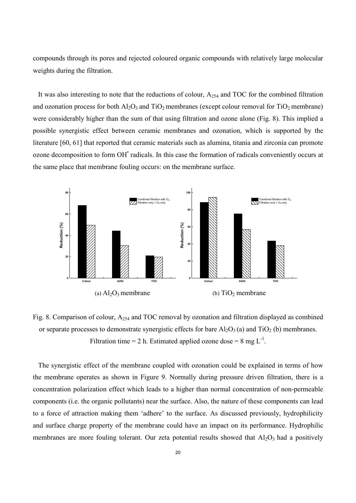compounds through its pores and rejected coloured organic compounds with relatively large molecular weights during the filtration.

 It was also interesting to note that the reductions of colour, A254 and TOC for the combined filtration and ozonation process for both  $Al_2O_3$  and  $TiO_2$  membranes (except colour removal for  $TiO_2$  membrane) were considerably higher than the sum of that using filtration and ozone alone (Fig. 8). This implied a possible synergistic effect between ceramic membranes and ozonation, which is supported by the literature [60, 61] that reported that ceramic materials such as alumina, titania and zirconia can promote ozone decomposition to form OH<sup>+</sup> radicals. In this case the formation of radicals conveniently occurs at the same place that membrane fouling occurs: on the membrane surface.



Fig. 8. Comparison of colour, A254 and TOC removal by ozonation and filtration displayed as combined or separate processes to demonstrate synergistic effects for bare  $Al_2O_3(a)$  and  $TiO_2(b)$  membranes. Filtration time = 2 h. Estimated applied ozone dose = 8 mg  $L^{-1}$ .

The synergistic effect of the membrane coupled with ozonation could be explained in terms of how the membrane operates as shown in Figure 9. Normally during pressure driven filtration, there is a concentration polarization effect which leads to a higher than normal concentration of non-permeable components (i.e. the organic pollutants) near the surface. Also, the nature of these components can lead to a force of attraction making them 'adhere' to the surface. As discussed previously, hydrophilicity and surface charge property of the membrane could have an impact on its performance. Hydrophilic membranes are more fouling tolerant. Our zeta potential results showed that  $A_2O_3$  had a positively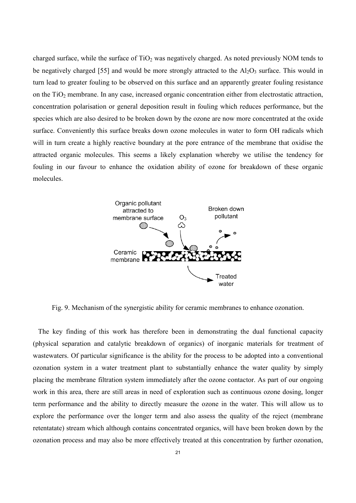charged surface, while the surface of  $TiO<sub>2</sub>$  was negatively charged. As noted previously NOM tends to be negatively charged [55] and would be more strongly attracted to the  $A_1O_3$  surface. This would in turn lead to greater fouling to be observed on this surface and an apparently greater fouling resistance on the TiO<sub>2</sub> membrane. In any case, increased organic concentration either from electrostatic attraction, concentration polarisation or general deposition result in fouling which reduces performance, but the species which are also desired to be broken down by the ozone are now more concentrated at the oxide surface. Conveniently this surface breaks down ozone molecules in water to form OH radicals which will in turn create a highly reactive boundary at the pore entrance of the membrane that oxidise the attracted organic molecules. This seems a likely explanation whereby we utilise the tendency for fouling in our favour to enhance the oxidation ability of ozone for breakdown of these organic molecules.



Fig. 9. Mechanism of the synergistic ability for ceramic membranes to enhance ozonation.

The key finding of this work has therefore been in demonstrating the dual functional capacity (physical separation and catalytic breakdown of organics) of inorganic materials for treatment of wastewaters. Of particular significance is the ability for the process to be adopted into a conventional ozonation system in a water treatment plant to substantially enhance the water quality by simply placing the membrane filtration system immediately after the ozone contactor. As part of our ongoing work in this area, there are still areas in need of exploration such as continuous ozone dosing, longer term performance and the ability to directly measure the ozone in the water. This will allow us to explore the performance over the longer term and also assess the quality of the reject (membrane retentatate) stream which although contains concentrated organics, will have been broken down by the ozonation process and may also be more effectively treated at this concentration by further ozonation,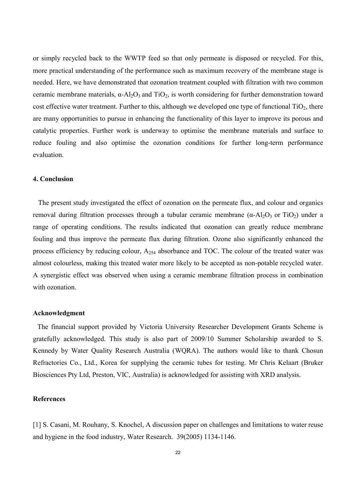or simply recycled back to the WWTP feed so that only permeate is disposed or recycled. For this, more practical understanding of the performance such as maximum recovery of the membrane stage is needed. Here, we have demonstrated that ozonation treatment coupled with filtration with two common ceramic membrane materials,  $\alpha$ -Al<sub>2</sub>O<sub>3</sub> and TiO<sub>2</sub>, is worth considering for further demonstration toward cost effective water treatment. Further to this, although we developed one type of functional  $TiO<sub>2</sub>$ , there are many opportunities to pursue in enhancing the functionality of this layer to improve its porous and catalytic properties. Further work is underway to optimise the membrane materials and surface to reduce fouling and also optimise the ozonation conditions for further long-term performance evaluation.

# **4. Conclusion**

 The present study investigated the effect of ozonation on the permeate flux, and colour and organics removal during filtration processes through a tubular ceramic membrane  $(α-A<sub>2</sub>O<sub>3</sub>$  or TiO<sub>2</sub>) under a range of operating conditions. The results indicated that ozonation can greatly reduce membrane fouling and thus improve the permeate flux during filtration. Ozone also significantly enhanced the process efficiency by reducing colour,  $A_{254}$  absorbance and TOC. The colour of the treated water was almost colourless, making this treated water more likely to be accepted as non-potable recycled water. A synergistic effect was observed when using a ceramic membrane filtration process in combination with ozonation

#### **Acknowledgment**

 The financial support provided by Victoria University Researcher Development Grants Scheme is gratefully acknowledged. This study is also part of 2009/10 Summer Scholarship awarded to S. Kennedy by Water Quality Research Australia (WQRA). The authors would like to thank Chosun Refractories Co., Ltd., Korea for supplying the ceramic tubes for testing. Mr Chris Kelaart (Bruker Biosciences Pty Ltd, Preston, VIC, Australia) is acknowledged for assisting with XRD analysis.

#### **References**

[1] S. Casani, M. Rouhany, S. Knochel, A discussion paper on challenges and limitations to water reuse and hygiene in the food industry, Water Research. 39(2005) 1134-1146.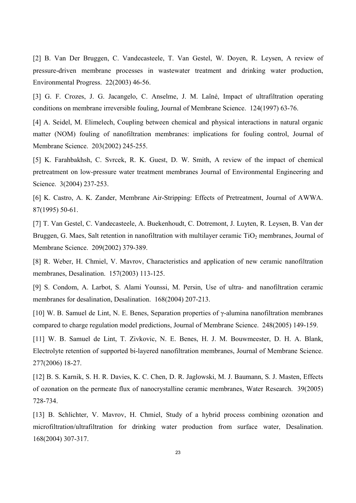[2] B. Van Der Bruggen, C. Vandecasteele, T. Van Gestel, W. Doyen, R. Leysen, A review of pressure-driven membrane processes in wastewater treatment and drinking water production, Environmental Progress. 22(2003) 46-56.

[3] G. F. Crozes, J. G. Jacangelo, C. Anselme, J. M. Laîné, Impact of ultrafiltration operating conditions on membrane irreversible fouling, Journal of Membrane Science. 124(1997) 63-76.

[4] A. Seidel, M. Elimelech, Coupling between chemical and physical interactions in natural organic matter (NOM) fouling of nanofiltration membranes: implications for fouling control, Journal of Membrane Science. 203(2002) 245-255.

[5] K. Farahbakhsh, C. Svrcek, R. K. Guest, D. W. Smith, A review of the impact of chemical pretreatment on low-pressure water treatment membranes Journal of Environmental Engineering and Science. 3(2004) 237-253.

[6] K. Castro, A. K. Zander, Membrane Air-Stripping: Effects of Pretreatment, Journal of AWWA. 87(1995) 50-61.

[7] T. Van Gestel, C. Vandecasteele, A. Buekenhoudt, C. Dotremont, J. Luyten, R. Leysen, B. Van der Bruggen, G. Maes, Salt retention in nanofiltration with multilayer ceramic  $TiO<sub>2</sub>$  membranes, Journal of Membrane Science. 209(2002) 379-389.

[8] R. Weber, H. Chmiel, V. Mavrov, Characteristics and application of new ceramic nanofiltration membranes, Desalination. 157(2003) 113-125.

[9] S. Condom, A. Larbot, S. Alami Younssi, M. Persin, Use of ultra- and nanofiltration ceramic membranes for desalination, Desalination. 168(2004) 207-213.

[10] W. B. Samuel de Lint, N. E. Benes, Separation properties of γ-alumina nanofiltration membranes compared to charge regulation model predictions, Journal of Membrane Science. 248(2005) 149-159.

[11] W. B. Samuel de Lint, T. Zivkovic, N. E. Benes, H. J. M. Bouwmeester, D. H. A. Blank, Electrolyte retention of supported bi-layered nanofiltration membranes, Journal of Membrane Science. 277(2006) 18-27.

[12] B. S. Karnik, S. H. R. Davies, K. C. Chen, D. R. Jaglowski, M. J. Baumann, S. J. Masten, Effects of ozonation on the permeate flux of nanocrystalline ceramic membranes, Water Research. 39(2005) 728-734.

[13] B. Schlichter, V. Mavrov, H. Chmiel, Study of a hybrid process combining ozonation and microfiltration/ultrafiltration for drinking water production from surface water, Desalination. 168(2004) 307-317.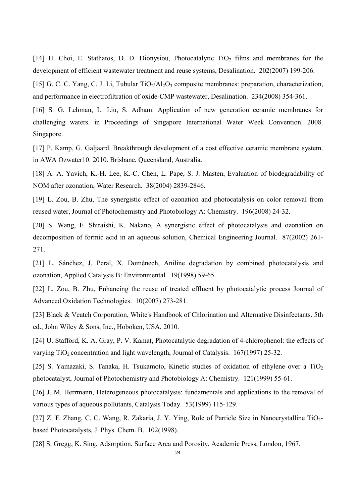[14] H. Choi, E. Stathatos, D. D. Dionysiou, Photocatalytic  $TiO<sub>2</sub>$  films and membranes for the development of efficient wastewater treatment and reuse systems, Desalination. 202(2007) 199-206.

[15] G. C. C. Yang, C. J. Li, Tubular TiO<sub>2</sub>/Al<sub>2</sub>O<sub>3</sub> composite membranes: preparation, characterization, and performance in electrofiltration of oxide-CMP wastewater, Desalination. 234(2008) 354-361.

[16] S. G. Lehman, L. Liu, S. Adham. Application of new generation ceramic membranes for challenging waters. in Proceedings of Singapore International Water Week Convention. 2008. Singapore.

[17] P. Kamp, G. Galjaard. Breakthrough development of a cost effective ceramic membrane system. in AWA Ozwater10. 2010. Brisbane, Queensland, Australia.

[18] A. A. Yavich, K.-H. Lee, K.-C. Chen, L. Pape, S. J. Masten, Evaluation of biodegradability of NOM after ozonation, Water Research. 38(2004) 2839-2846.

[19] L. Zou, B. Zhu, The synergistic effect of ozonation and photocatalysis on color removal from reused water, Journal of Photochemistry and Photobiology A: Chemistry. 196(2008) 24-32.

[20] S. Wang, F. Shiraishi, K. Nakano, A synergistic effect of photocatalysis and ozonation on decomposition of formic acid in an aqueous solution, Chemical Engineering Journal. 87(2002) 261- 271.

[21] L. Sánchez, J. Peral, X. Domènech, Aniline degradation by combined photocatalysis and ozonation, Applied Catalysis B: Environmental. 19(1998) 59-65.

[22] L. Zou, B. Zhu, Enhancing the reuse of treated effluent by photocatalytic process Journal of Advanced Oxidation Technologies. 10(2007) 273-281.

[23] Black & Veatch Corporation, White's Handbook of Chlorination and Alternative Disinfectants. 5th ed., John Wiley & Sons, Inc., Hoboken, USA, 2010.

[24] U. Stafford, K. A. Gray, P. V. Kamat, Photocatalytic degradation of 4-chlorophenol: the effects of varying  $TiO<sub>2</sub> concentration and light wavelength, Journal of Catalysis. 167(1997) 25-32.$ 

[25] S. Yamazaki, S. Tanaka, H. Tsukamoto, Kinetic studies of oxidation of ethylene over a  $TiO<sub>2</sub>$ photocatalyst, Journal of Photochemistry and Photobiology A: Chemistry. 121(1999) 55-61.

[26] J. M. Herrmann, Heterogeneous photocatalysis: fundamentals and applications to the removal of various types of aqueous pollutants, Catalysis Today. 53(1999) 115-129.

[27] Z. F. Zhang, C. C. Wang, R. Zakaria, J. Y. Ying, Role of Particle Size in Nanocrystalline TiO2based Photocatalysts, J. Phys. Chem. B. 102(1998).

[28] S. Gregg, K. Sing, Adsorption, Surface Area and Porosity, Academic Press, London, 1967.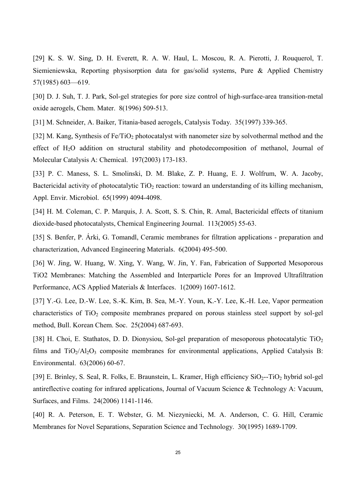[29] K. S. W. Sing, D. H. Everett, R. A. W. Haul, L. Moscou, R. A. Pierotti, J. Rouquerol, T. Siemieniewska, Reporting physisorption data for gas/solid systems, Pure & Applied Chemistry 57(1985) 603—619.

[30] D. J. Suh, T. J. Park, Sol-gel strategies for pore size control of high-surface-area transition-metal oxide aerogels, Chem. Mater. 8(1996) 509-513.

[31] M. Schneider, A. Baiker, Titania-based aerogels, Catalysis Today. 35(1997) 339-365.

[32] M. Kang, Synthesis of Fe/TiO<sub>2</sub> photocatalyst with nanometer size by solvothermal method and the effect of H<sub>2</sub>O addition on structural stability and photodecomposition of methanol, Journal of Molecular Catalysis A: Chemical. 197(2003) 173-183.

[33] P. C. Maness, S. L. Smolinski, D. M. Blake, Z. P. Huang, E. J. Wolfrum, W. A. Jacoby, Bactericidal activity of photocatalytic  $TiO<sub>2</sub>$  reaction: toward an understanding of its killing mechanism, Appl. Envir. Microbiol. 65(1999) 4094-4098.

[34] H. M. Coleman, C. P. Marquis, J. A. Scott, S. S. Chin, R. Amal, Bactericidal effects of titanium dioxide-based photocatalysts, Chemical Engineering Journal. 113(2005) 55-63.

[35] S. Benfer, P. Árki, G. Tomandl, Ceramic membranes for filtration applications - preparation and characterization, Advanced Engineering Materials. 6(2004) 495-500.

[36] W. Jing, W. Huang, W. Xing, Y. Wang, W. Jin, Y. Fan, Fabrication of Supported Mesoporous TiO2 Membranes: Matching the Assembled and Interparticle Pores for an Improved Ultrafiltration Performance, ACS Applied Materials & Interfaces. 1(2009) 1607-1612.

[37] Y.-G. Lee, D.-W. Lee, S.-K. Kim, B. Sea, M.-Y. Youn, K.-Y. Lee, K.-H. Lee, Vapor permeation characteristics of  $TiO<sub>2</sub>$  composite membranes prepared on porous stainless steel support by sol-gel method, Bull. Korean Chem. Soc. 25(2004) 687-693.

[38] H. Choi, E. Stathatos, D. D. Dionysiou, Sol-gel preparation of mesoporous photocatalytic TiO<sub>2</sub> films and  $TiO<sub>2</sub>/Al<sub>2</sub>O<sub>3</sub>$  composite membranes for environmental applications, Applied Catalysis B: Environmental. 63(2006) 60-67.

[39] E. Brinley, S. Seal, R. Folks, E. Braunstein, L. Kramer, High efficiency SiO2--TiO2 hybrid sol-gel antireflective coating for infrared applications, Journal of Vacuum Science & Technology A: Vacuum, Surfaces, and Films. 24(2006) 1141-1146.

[40] R. A. Peterson, E. T. Webster, G. M. Niezyniecki, M. A. Anderson, C. G. Hill, Ceramic Membranes for Novel Separations, Separation Science and Technology. 30(1995) 1689-1709.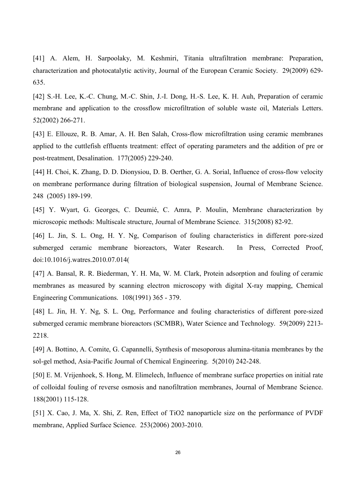[41] A. Alem, H. Sarpoolaky, M. Keshmiri, Titania ultrafiltration membrane: Preparation, characterization and photocatalytic activity, Journal of the European Ceramic Society. 29(2009) 629- 635.

[42] S.-H. Lee, K.-C. Chung, M.-C. Shin, J.-I. Dong, H.-S. Lee, K. H. Auh, Preparation of ceramic membrane and application to the crossflow microfiltration of soluble waste oil, Materials Letters. 52(2002) 266-271.

[43] E. Ellouze, R. B. Amar, A. H. Ben Salah, Cross-flow microfiltration using ceramic membranes applied to the cuttlefish effluents treatment: effect of operating parameters and the addition of pre or post-treatment, Desalination. 177(2005) 229-240.

[44] H. Choi, K. Zhang, D. D. Dionysiou, D. B. Oerther, G. A. Sorial, Influence of cross-flow velocity on membrane performance during filtration of biological suspension, Journal of Membrane Science. 248 (2005) 189-199.

[45] Y. Wyart, G. Georges, C. Deumié, C. Amra, P. Moulin, Membrane characterization by microscopic methods: Multiscale structure, Journal of Membrane Science. 315(2008) 82-92.

[46] L. Jin, S. L. Ong, H. Y. Ng, Comparison of fouling characteristics in different pore-sized submerged ceramic membrane bioreactors, Water Research. In Press, Corrected Proof, doi:10.1016/j.watres.2010.07.014(

[47] A. Bansal, R. R. Biederman, Y. H. Ma, W. M. Clark, Protein adsorption and fouling of ceramic membranes as measured by scanning electron microscopy with digital X-ray mapping, Chemical Engineering Communications. 108(1991) 365 - 379.

[48] L. Jin, H. Y. Ng, S. L. Ong, Performance and fouling characteristics of different pore-sized submerged ceramic membrane bioreactors (SCMBR), Water Science and Technology. 59(2009) 2213- 2218.

[49] A. Bottino, A. Comite, G. Capannelli, Synthesis of mesoporous alumina-titania membranes by the sol-gel method, Asia-Pacific Journal of Chemical Engineering. 5(2010) 242-248.

[50] E. M. Vrijenhoek, S. Hong, M. Elimelech, Influence of membrane surface properties on initial rate of colloidal fouling of reverse osmosis and nanofiltration membranes, Journal of Membrane Science. 188(2001) 115-128.

[51] X. Cao, J. Ma, X. Shi, Z. Ren, Effect of TiO2 nanoparticle size on the performance of PVDF membrane, Applied Surface Science. 253(2006) 2003-2010.